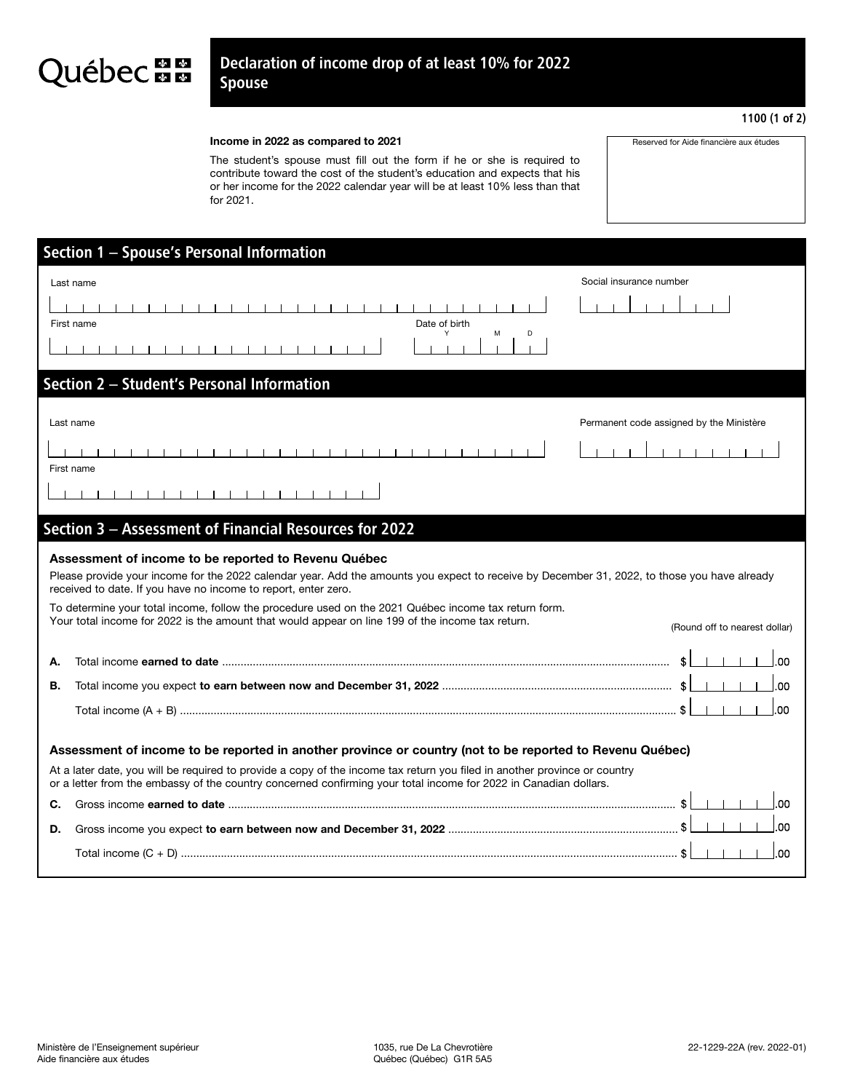## Québec **a a**

## Income in 2022 as compared to 2021

The student's spouse must fill out the form if he or she is required to contribute toward the cost of the student's education and expects that his or her income for the 2022 calendar year will be at least 10% less than that for 2021.

|                                                                                                                                                                                                                                                                                                                                                                                                                                                                                                                     | Section 1 - Spouse's Personal Information                                               |                                          |  |
|---------------------------------------------------------------------------------------------------------------------------------------------------------------------------------------------------------------------------------------------------------------------------------------------------------------------------------------------------------------------------------------------------------------------------------------------------------------------------------------------------------------------|-----------------------------------------------------------------------------------------|------------------------------------------|--|
|                                                                                                                                                                                                                                                                                                                                                                                                                                                                                                                     | Social insurance number<br>Last name<br>111111<br>First name<br>Date of birth<br>M<br>D |                                          |  |
| Section 2 - Student's Personal Information                                                                                                                                                                                                                                                                                                                                                                                                                                                                          |                                                                                         |                                          |  |
|                                                                                                                                                                                                                                                                                                                                                                                                                                                                                                                     | Last name<br>First name<br>.                                                            | Permanent code assigned by the Ministère |  |
| Section 3 - Assessment of Financial Resources for 2022                                                                                                                                                                                                                                                                                                                                                                                                                                                              |                                                                                         |                                          |  |
| Assessment of income to be reported to Revenu Québec<br>Please provide your income for the 2022 calendar year. Add the amounts you expect to receive by December 31, 2022, to those you have already<br>received to date. If you have no income to report, enter zero.<br>To determine your total income, follow the procedure used on the 2021 Québec income tax return form.<br>Your total income for 2022 is the amount that would appear on line 199 of the income tax return.<br>(Round off to nearest dollar) |                                                                                         |                                          |  |
| А.                                                                                                                                                                                                                                                                                                                                                                                                                                                                                                                  |                                                                                         | 00                                       |  |
| В.                                                                                                                                                                                                                                                                                                                                                                                                                                                                                                                  |                                                                                         | .00                                      |  |
|                                                                                                                                                                                                                                                                                                                                                                                                                                                                                                                     |                                                                                         | .00                                      |  |
| Assessment of income to be reported in another province or country (not to be reported to Revenu Québec)<br>At a later date, you will be required to provide a copy of the income tax return you filed in another province or country<br>or a letter from the embassy of the country concerned confirming your total income for 2022 in Canadian dollars.                                                                                                                                                           |                                                                                         |                                          |  |
| С.                                                                                                                                                                                                                                                                                                                                                                                                                                                                                                                  |                                                                                         | 00                                       |  |
| D.                                                                                                                                                                                                                                                                                                                                                                                                                                                                                                                  |                                                                                         |                                          |  |
|                                                                                                                                                                                                                                                                                                                                                                                                                                                                                                                     |                                                                                         | .00                                      |  |
|                                                                                                                                                                                                                                                                                                                                                                                                                                                                                                                     |                                                                                         |                                          |  |

1100 (1 of 2)

Reserved for Aide financière aux études